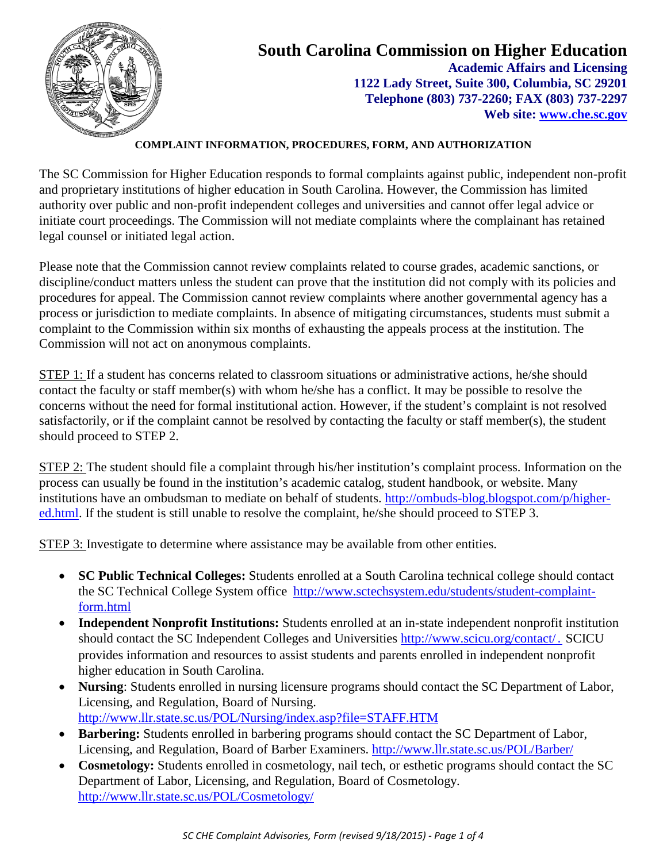

#### **COMPLAINT INFORMATION, PROCEDURES, FORM, AND AUTHORIZATION**

The SC Commission for Higher Education responds to formal complaints against public, independent non-profit and proprietary institutions of higher education in South Carolina. However, the Commission has limited authority over public and non-profit independent colleges and universities and cannot offer legal advice or initiate court proceedings. The Commission will not mediate complaints where the complainant has retained legal counsel or initiated legal action.

Please note that the Commission cannot review complaints related to course grades, academic sanctions, or discipline/conduct matters unless the student can prove that the institution did not comply with its policies and procedures for appeal. The Commission cannot review complaints where another governmental agency has a process or jurisdiction to mediate complaints. In absence of mitigating circumstances, students must submit a complaint to the Commission within six months of exhausting the appeals process at the institution. The Commission will not act on anonymous complaints.

STEP 1: If a student has concerns related to classroom situations or administrative actions, he/she should contact the faculty or staff member(s) with whom he/she has a conflict. It may be possible to resolve the concerns without the need for formal institutional action. However, if the student's complaint is not resolved satisfactorily, or if the complaint cannot be resolved by contacting the faculty or staff member(s), the student should proceed to STEP 2.

STEP 2: The student should file a complaint through his/her institution's complaint process. Information on the process can usually be found in the institution's academic catalog, student handbook, or website. Many institutions have an ombudsman to mediate on behalf of students. [http://ombuds-blog.blogspot.com/p/higher](http://ombuds-blog.blogspot.com/p/higher-ed.html)[ed.html.](http://ombuds-blog.blogspot.com/p/higher-ed.html) If the student is still unable to resolve the complaint, he/she should proceed to STEP 3.

STEP 3: Investigate to determine where assistance may be available from other entities.

- **SC Public Technical Colleges:** Students enrolled at a South Carolina technical college should contact the SC Technical College System office [http://www.sctechsystem.edu/students/student-complaint](http://www.sctechsystem.edu/students/student-complaint-form.html)[form.html](http://www.sctechsystem.edu/students/student-complaint-form.html)
- **Independent Nonprofit Institutions:** Students enrolled at an in-state independent nonprofit institution should contact the SC Independent Colleges and Universities<http://www.scicu.org/contact/>. SCICU provides information and resources to assist students and parents enrolled in independent nonprofit higher education in South Carolina.
- **Nursing**: Students enrolled in nursing licensure programs should contact the SC Department of Labor, Licensing, and Regulation, Board of Nursing. <http://www.llr.state.sc.us/POL/Nursing/index.asp?file=STAFF.HTM>
- **Barbering:** Students enrolled in barbering programs should contact the SC Department of Labor, Licensing, and Regulation, Board of Barber Examiners.<http://www.llr.state.sc.us/POL/Barber/>
- **Cosmetology:** Students enrolled in cosmetology, nail tech, or esthetic programs should contact the SC Department of Labor, Licensing, and Regulation, Board of Cosmetology. <http://www.llr.state.sc.us/POL/Cosmetology/>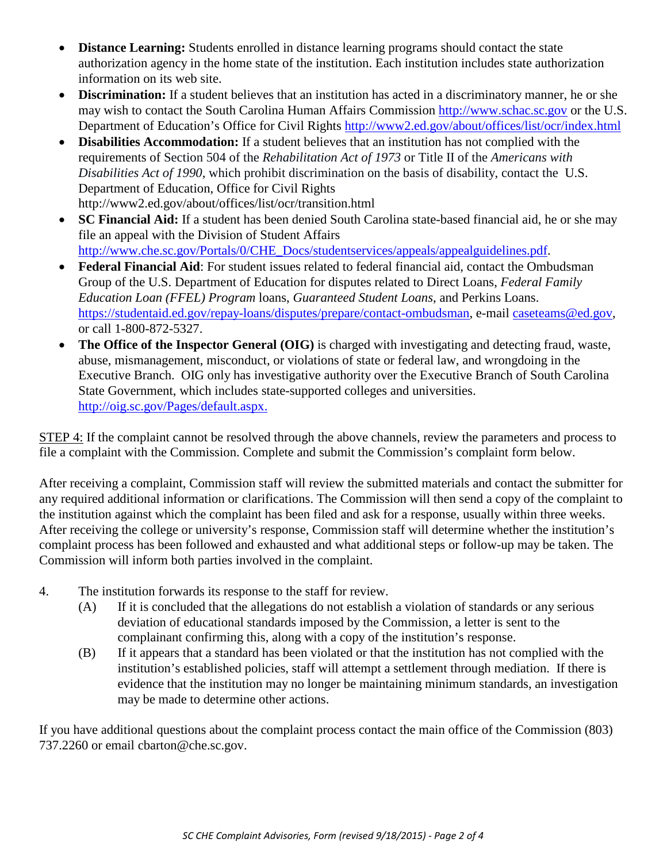- **Distance Learning:** Students enrolled in distance learning programs should contact the state authorization agency in the home state of the institution. Each institution includes state authorization information on its web site.
- **Discrimination:** If a student believes that an institution has acted in a discriminatory manner, he or she may wish to contact the South Carolina Human Affairs Commission [http://www.schac.sc.gov](http://www.schac.sc.gov/) or the U.S. Department of Education's Office for Civil Rights<http://www2.ed.gov/about/offices/list/ocr/index.html>
- **Disabilities Accommodation:** If a student believes that an institution has not complied with the requirements of Section 504 of the *Rehabilitation Act of 1973* or Title II of the *Americans with Disabilities Act of 1990*, which prohibit discrimination on the basis of disability, contact the U.S. Department of Education, Office for Civil Rights http://www2.ed.gov/about/offices/list/ocr/transition.html
- **SC Financial Aid:** If a student has been denied South Carolina state-based financial aid, he or she may file an appeal with the Division of Student Affairs [http://www.che.sc.gov/Portals/0/CHE\\_Docs/studentservices/appeals/appealguidelines.pdf.](http://www.che.sc.gov/Portals/0/CHE_Docs/studentservices/appeals/appealguidelines.pdf)
- **Federal Financial Aid**: For student issues related to federal financial aid, contact the Ombudsman Group of the U.S. Department of Education for disputes related to Direct Loans, *Federal Family Education Loan (FFEL) Program* loans, *Guaranteed Student Loans*, and Perkins Loans. [https://studentaid.ed.gov/repay-loans/disputes/prepare/contact-ombudsman,](https://studentaid.ed.gov/repay-loans/disputes/prepare/contact-ombudsman) e-mail [caseteams@ed.gov,](mailto:caseteams@ed.gov) or call 1-800-872-5327.
- **The Office of the Inspector General (OIG)** is charged with investigating and detecting fraud, waste, abuse, mismanagement, misconduct, or violations of state or federal law, and wrongdoing in the Executive Branch. OIG only has investigative authority over the Executive Branch of South Carolina State Government, which includes state-supported colleges and universities. <http://oig.sc.gov/Pages/default.aspx.>

STEP 4: If the complaint cannot be resolved through the above channels, review the parameters and process to file a complaint with the Commission. Complete and submit the Commission's complaint form below.

After receiving a complaint, Commission staff will review the submitted materials and contact the submitter for any required additional information or clarifications. The Commission will then send a copy of the complaint to the institution against which the complaint has been filed and ask for a response, usually within three weeks. After receiving the college or university's response, Commission staff will determine whether the institution's complaint process has been followed and exhausted and what additional steps or follow-up may be taken. The Commission will inform both parties involved in the complaint.

- 4. The institution forwards its response to the staff for review.
	- (A) If it is concluded that the allegations do not establish a violation of standards or any serious deviation of educational standards imposed by the Commission, a letter is sent to the complainant confirming this, along with a copy of the institution's response.
	- (B) If it appears that a standard has been violated or that the institution has not complied with the institution's established policies, staff will attempt a settlement through mediation. If there is evidence that the institution may no longer be maintaining minimum standards, an investigation may be made to determine other actions.

If you have additional questions about the complaint process contact the main office of the Commission (803) 737.2260 or email cbarton@che.sc.gov.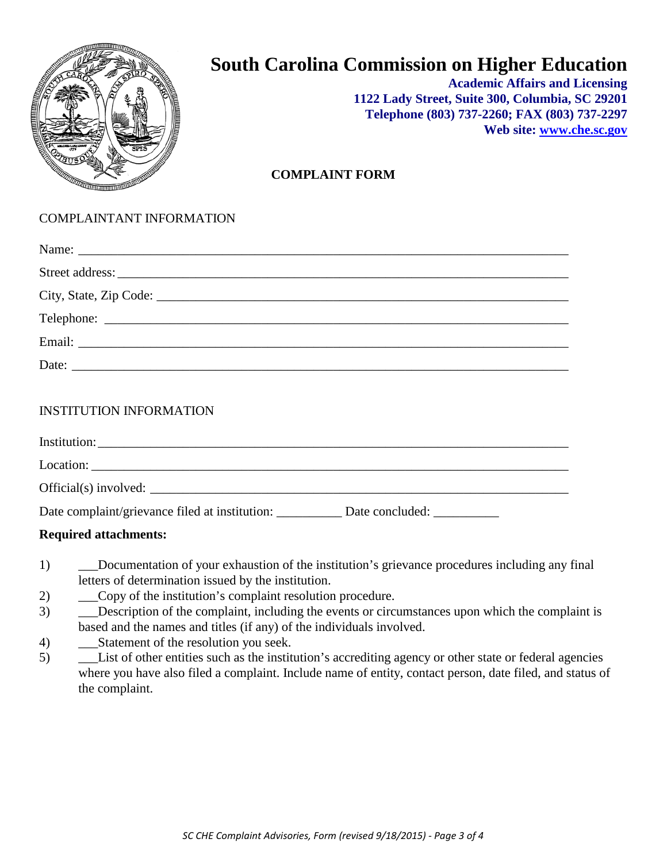

# **South Carolina Commission on Higher Education**

**Academic Affairs and Licensing 1122 Lady Street, Suite 300, Columbia, SC 29201 Telephone (803) 737-2260; FAX (803) 737-2297 Web site: [www.che.sc.gov](http://www.che.sc.gov/)**

#### **COMPLAINT FORM**

### COMPLAINTANT INFORMATION

| Date: $\qquad \qquad$ |
|-----------------------|
|                       |

#### INSTITUTION INFORMATION

| Institution:                                            |                 |
|---------------------------------------------------------|-----------------|
| Location:                                               |                 |
| Official(s) involved:                                   |                 |
| Date complaint/grievance filed at institution: ________ | Date concluded: |

#### **Required attachments:**

- 1) \_\_\_Documentation of your exhaustion of the institution's grievance procedures including any final letters of determination issued by the institution.
- 2) \_\_\_Copy of the institution's complaint resolution procedure.
- 3) \_\_\_Description of the complaint, including the events or circumstances upon which the complaint is based and the names and titles (if any) of the individuals involved.
- 4) Statement of the resolution you seek.
- 5) \_\_\_List of other entities such as the institution's accrediting agency or other state or federal agencies where you have also filed a complaint. Include name of entity, contact person, date filed, and status of the complaint.